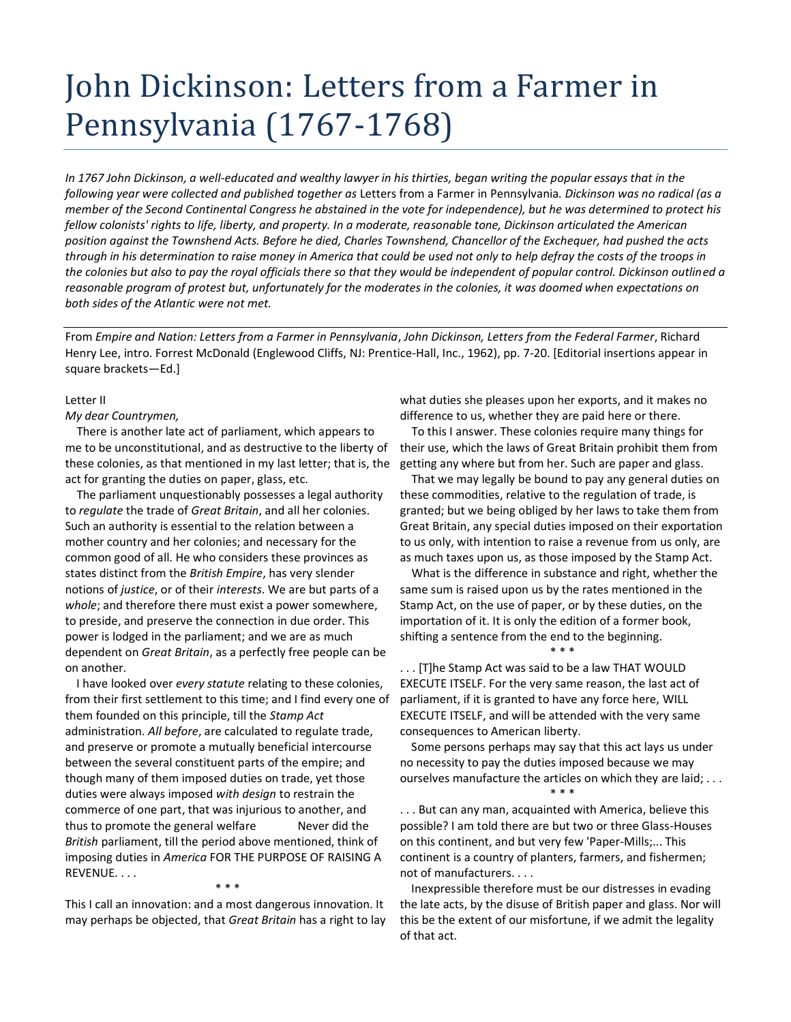# John Dickinson: Letters from a Farmer in Pennsylvania (1767-1768)

*In 1767 John Dickinson, a well-educated and wealthy lawyer in his thirties, began writing the popular essays that in the following year were collected and published together as* Letters from a Farmer in Pennsylvania*. Dickinson was no radical (as a member of the Second Continental Congress he abstained in the vote for independence), but he was determined to protect his fellow colonists' rights to life, liberty, and property. In a moderate, reasonable tone, Dickinson articulated the American position against the Townshend Acts. Before he died, Charles Townshend, Chancellor of the Exchequer, had pushed the acts through in his determination to raise money in America that could be used not only to help defray the costs of the troops in the colonies but also to pay the royal officials there so that they would be independent of popular control. Dickinson outlined a reasonable program of protest but, unfortunately for the moderates in the colonies, it was doomed when expectations on both sides of the Atlantic were not met.*

From *Empire and Nation: Letters from a Farmer in Pennsylvania*, *John Dickinson, Letters from the Federal Farmer*, Richard Henry Lee, intro. Forrest McDonald (Englewood Cliffs, NJ: Prentice-Hall, Inc., 1962), pp. 7-20. [Editorial insertions appear in square brackets—Ed.]

### Letter II

#### *My dear Countrymen,*

 There is another late act of parliament, which appears to me to be unconstitutional, and as destructive to the liberty of these colonies, as that mentioned in my last letter; that is, the act for granting the duties on paper, glass, etc.

 The parliament unquestionably possesses a legal authority to *regulate* the trade of *Great Britain*, and all her colonies. Such an authority is essential to the relation between a mother country and her colonies; and necessary for the common good of all. He who considers these provinces as states distinct from the *British Empire*, has very slender notions of *justice*, or of their *interests*. We are but parts of a *whole*; and therefore there must exist a power somewhere, to preside, and preserve the connection in due order. This power is lodged in the parliament; and we are as much dependent on *Great Britain*, as a perfectly free people can be on another.

 I have looked over *every statute* relating to these colonies, from their first settlement to this time; and I find every one of them founded on this principle, till the *Stamp Act* administration. *All before*, are calculated to regulate trade, and preserve or promote a mutually beneficial intercourse between the several constituent parts of the empire; and though many of them imposed duties on trade, yet those duties were always imposed *with design* to restrain the commerce of one part, that was injurious to another, and thus to promote the general welfare Never did the *British* parliament, till the period above mentioned, think of imposing duties in *America* FOR THE PURPOSE OF RAISING A REVENUE. . . . \* \* \*

This I call an innovation: and a most dangerous innovation. It may perhaps be objected, that *Great Britain* has a right to lay what duties she pleases upon her exports, and it makes no difference to us, whether they are paid here or there.

 To this I answer. These colonies require many things for their use, which the laws of Great Britain prohibit them from getting any where but from her. Such are paper and glass.

 That we may legally be bound to pay any general duties on these commodities, relative to the regulation of trade, is granted; but we being obliged by her laws to take them from Great Britain, any special duties imposed on their exportation to us only, with intention to raise a revenue from us only, are as much taxes upon us, as those imposed by the Stamp Act.

 What is the difference in substance and right, whether the same sum is raised upon us by the rates mentioned in the Stamp Act, on the use of paper, or by these duties, on the importation of it. It is only the edition of a former book, shifting a sentence from the end to the beginning. \* \* \*

. . . [T]he Stamp Act was said to be a law THAT WOULD EXECUTE ITSELF. For the very same reason, the last act of parliament, if it is granted to have any force here, WILL EXECUTE ITSELF, and will be attended with the very same consequences to American liberty.

 Some persons perhaps may say that this act lays us under no necessity to pay the duties imposed because we may ourselves manufacture the articles on which they are laid; . . .

\* \* \*

. . . But can any man, acquainted with America, believe this possible? I am told there are but two or three Glass-Houses on this continent, and but very few 'Paper-Mills;... This continent is a country of planters, farmers, and fishermen; not of manufacturers. . . .

 Inexpressible therefore must be our distresses in evading the late acts, by the disuse of British paper and glass. Nor will this be the extent of our misfortune, if we admit the legality of that act.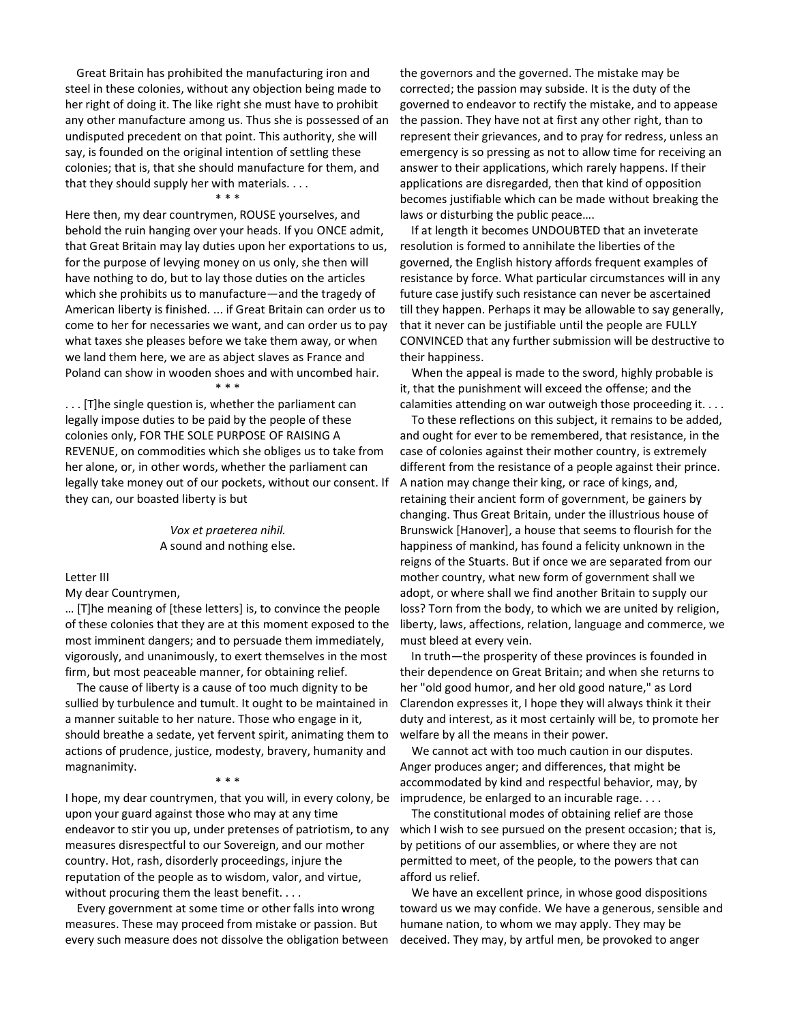Great Britain has prohibited the manufacturing iron and steel in these colonies, without any objection being made to her right of doing it. The like right she must have to prohibit any other manufacture among us. Thus she is possessed of an undisputed precedent on that point. This authority, she will say, is founded on the original intention of settling these colonies; that is, that she should manufacture for them, and that they should supply her with materials. . . .

\* \* \*

Here then, my dear countrymen, ROUSE yourselves, and behold the ruin hanging over your heads. If you ONCE admit, that Great Britain may lay duties upon her exportations to us, for the purpose of levying money on us only, she then will have nothing to do, but to lay those duties on the articles which she prohibits us to manufacture—and the tragedy of American liberty is finished. ... if Great Britain can order us to come to her for necessaries we want, and can order us to pay what taxes she pleases before we take them away, or when we land them here, we are as abject slaves as France and Poland can show in wooden shoes and with uncombed hair.

\* \* \*

. . . [T]he single question is, whether the parliament can legally impose duties to be paid by the people of these colonies only, FOR THE SOLE PURPOSE OF RAISING A REVENUE, on commodities which she obliges us to take from her alone, or, in other words, whether the parliament can legally take money out of our pockets, without our consent. If they can, our boasted liberty is but

> *Vox et praeterea nihil.* A sound and nothing else.

### Letter III

#### My dear Countrymen,

… [T]he meaning of [these letters] is, to convince the people of these colonies that they are at this moment exposed to the most imminent dangers; and to persuade them immediately, vigorously, and unanimously, to exert themselves in the most firm, but most peaceable manner, for obtaining relief.

 The cause of liberty is a cause of too much dignity to be sullied by turbulence and tumult. It ought to be maintained in a manner suitable to her nature. Those who engage in it, should breathe a sedate, yet fervent spirit, animating them to actions of prudence, justice, modesty, bravery, humanity and magnanimity.

\* \* \* I hope, my dear countrymen, that you will, in every colony, be upon your guard against those who may at any time endeavor to stir you up, under pretenses of patriotism, to any measures disrespectful to our Sovereign, and our mother country. Hot, rash, disorderly proceedings, injure the reputation of the people as to wisdom, valor, and virtue, without procuring them the least benefit. . . .

 Every government at some time or other falls into wrong measures. These may proceed from mistake or passion. But every such measure does not dissolve the obligation between

the governors and the governed. The mistake may be corrected; the passion may subside. It is the duty of the governed to endeavor to rectify the mistake, and to appease the passion. They have not at first any other right, than to represent their grievances, and to pray for redress, unless an emergency is so pressing as not to allow time for receiving an answer to their applications, which rarely happens. If their applications are disregarded, then that kind of opposition becomes justifiable which can be made without breaking the laws or disturbing the public peace….

 If at length it becomes UNDOUBTED that an inveterate resolution is formed to annihilate the liberties of the governed, the English history affords frequent examples of resistance by force. What particular circumstances will in any future case justify such resistance can never be ascertained till they happen. Perhaps it may be allowable to say generally, that it never can be justifiable until the people are FULLY CONVINCED that any further submission will be destructive to their happiness.

 When the appeal is made to the sword, highly probable is it, that the punishment will exceed the offense; and the calamities attending on war outweigh those proceeding it. . . .

 To these reflections on this subject, it remains to be added, and ought for ever to be remembered, that resistance, in the case of colonies against their mother country, is extremely different from the resistance of a people against their prince. A nation may change their king, or race of kings, and, retaining their ancient form of government, be gainers by changing. Thus Great Britain, under the illustrious house of Brunswick [Hanover], a house that seems to flourish for the happiness of mankind, has found a felicity unknown in the reigns of the Stuarts. But if once we are separated from our mother country, what new form of government shall we adopt, or where shall we find another Britain to supply our loss? Torn from the body, to which we are united by religion, liberty, laws, affections, relation, language and commerce, we must bleed at every vein.

 In truth—the prosperity of these provinces is founded in their dependence on Great Britain; and when she returns to her "old good humor, and her old good nature," as Lord Clarendon expresses it, I hope they will always think it their duty and interest, as it most certainly will be, to promote her welfare by all the means in their power.

 We cannot act with too much caution in our disputes. Anger produces anger; and differences, that might be accommodated by kind and respectful behavior, may, by imprudence, be enlarged to an incurable rage. . . .

 The constitutional modes of obtaining relief are those which I wish to see pursued on the present occasion; that is, by petitions of our assemblies, or where they are not permitted to meet, of the people, to the powers that can afford us relief.

 We have an excellent prince, in whose good dispositions toward us we may confide. We have a generous, sensible and humane nation, to whom we may apply. They may be deceived. They may, by artful men, be provoked to anger